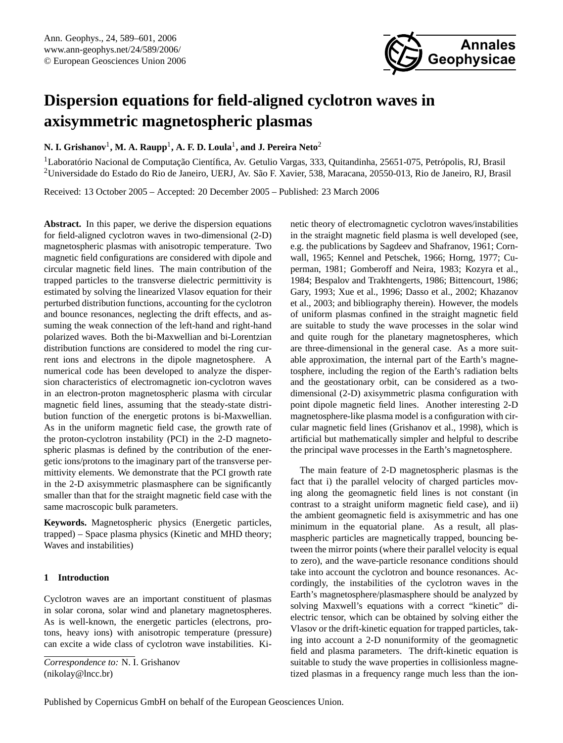

# **Dispersion equations for field-aligned cyclotron waves in axisymmetric magnetospheric plasmas**

# **N. I. Grishanov**<sup>1</sup> **, M. A. Raupp**<sup>1</sup> **, A. F. D. Loula**<sup>1</sup> **, and J. Pereira Neto**<sup>2</sup>

<sup>1</sup>Laboratório Nacional de Computação Científica, Av. Getulio Vargas, 333, Quitandinha, 25651-075, Petrópolis, RJ, Brasil <sup>2</sup>Universidade do Estado do Rio de Janeiro, UERJ, Av. Sao F. Xavier, 538, Maracana, 20550-013, Rio de Janeiro, RJ, Brasil ˜

Received: 13 October 2005 – Accepted: 20 December 2005 – Published: 23 March 2006

**Abstract.** In this paper, we derive the dispersion equations for field-aligned cyclotron waves in two-dimensional (2-D) magnetospheric plasmas with anisotropic temperature. Two magnetic field configurations are considered with dipole and circular magnetic field lines. The main contribution of the trapped particles to the transverse dielectric permittivity is estimated by solving the linearized Vlasov equation for their perturbed distribution functions, accounting for the cyclotron and bounce resonances, neglecting the drift effects, and assuming the weak connection of the left-hand and right-hand polarized waves. Both the bi-Maxwellian and bi-Lorentzian distribution functions are considered to model the ring current ions and electrons in the dipole magnetosphere. A numerical code has been developed to analyze the dispersion characteristics of electromagnetic ion-cyclotron waves in an electron-proton magnetospheric plasma with circular magnetic field lines, assuming that the steady-state distribution function of the energetic protons is bi-Maxwellian. As in the uniform magnetic field case, the growth rate of the proton-cyclotron instability (PCI) in the 2-D magnetospheric plasmas is defined by the contribution of the energetic ions/protons to the imaginary part of the transverse permittivity elements. We demonstrate that the PCI growth rate in the 2-D axisymmetric plasmasphere can be significantly smaller than that for the straight magnetic field case with the same macroscopic bulk parameters.

**Keywords.** Magnetospheric physics (Energetic particles, trapped) – Space plasma physics (Kinetic and MHD theory; Waves and instabilities)

# **1 Introduction**

Cyclotron waves are an important constituent of plasmas in solar corona, solar wind and planetary magnetospheres. As is well-known, the energetic particles (electrons, protons, heavy ions) with anisotropic temperature (pressure) can excite a wide class of cyclotron wave instabilities. Kinetic theory of electromagnetic cyclotron waves/instabilities in the straight magnetic field plasma is well developed (see, e.g. the publications by Sagdeev and Shafranov, 1961; Cornwall, 1965; Kennel and Petschek, 1966; Horng, 1977; Cuperman, 1981; Gomberoff and Neira, 1983; Kozyra et al., 1984; Bespalov and Trakhtengerts, 1986; Bittencourt, 1986; Gary, 1993; Xue et al., 1996; Dasso et al., 2002; Khazanov et al., 2003; and bibliography therein). However, the models of uniform plasmas confined in the straight magnetic field are suitable to study the wave processes in the solar wind and quite rough for the planetary magnetospheres, which are three-dimensional in the general case. As a more suitable approximation, the internal part of the Earth's magnetosphere, including the region of the Earth's radiation belts and the geostationary orbit, can be considered as a twodimensional (2-D) axisymmetric plasma configuration with point dipole magnetic field lines. Another interesting 2-D magnetosphere-like plasma model is a configuration with circular magnetic field lines (Grishanov et al., 1998), which is artificial but mathematically simpler and helpful to describe the principal wave processes in the Earth's magnetosphere.

The main feature of 2-D magnetospheric plasmas is the fact that i) the parallel velocity of charged particles moving along the geomagnetic field lines is not constant (in contrast to a straight uniform magnetic field case), and ii) the ambient geomagnetic field is axisymmetric and has one minimum in the equatorial plane. As a result, all plasmaspheric particles are magnetically trapped, bouncing between the mirror points (where their parallel velocity is equal to zero), and the wave-particle resonance conditions should take into account the cyclotron and bounce resonances. Accordingly, the instabilities of the cyclotron waves in the Earth's magnetosphere/plasmasphere should be analyzed by solving Maxwell's equations with a correct "kinetic" dielectric tensor, which can be obtained by solving either the Vlasov or the drift-kinetic equation for trapped particles, taking into account a 2-D nonuniformity of the geomagnetic field and plasma parameters. The drift-kinetic equation is suitable to study the wave properties in collisionless magnetized plasmas in a frequency range much less than the ion-

<span id="page-0-0"></span>*Correspondence to:* N. I. Grishanov (nikolay@lncc.br)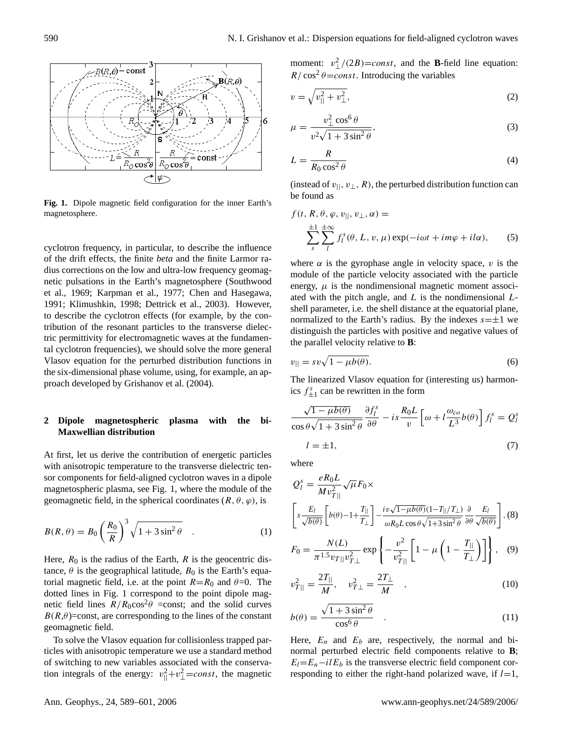

Fig. 1. Dipole magnetic field configuration for the inner Earth's magnetosphere.

cyclotron frequency, in particular, to describe the influence  $\frac{2}{s^2}$ of the drift effects, the finite *beta* and the finite Larmor radius corrections on the low and ultra-low frequency geomag- $\frac{1}{2}$  and  $\frac{1}{2}$  and  $\frac{1}{2}$  and  $\frac{1}{2}$  and  $\frac{1}{2}$  and  $\frac{1}{2}$  and  $\frac{1}{2}$  and  $\frac{1}{2}$  and  $\frac{1}{2}$  and  $\frac{1}{2}$  and  $\frac{1}{2}$  and  $\frac{1}{2}$  and  $\frac{1}{2}$  and  $\frac{1}{2}$  and  $\frac{1}{2}$  and  $\frac{1}{2}$  a et al., 1909, Kaipinan et al., 1977, Chen and Hasegawa,<br>1991; Klimushkin, 1998; Dettrick et al., 2003). However, et al., 1969; Karpman et al., 1977; Chen and Hasegawa, at al., 1969; Karpman et al., 1977; Chen and Hasegawa, tribution of the resonant particles to the transverse dielecto describe the cyclotron effects (for example, by the con-<br>normalize tric permittivity for electromagnetic waves at the fundamen-Vlasov equation for the perturbed distribution functions in  $v_{\parallel} = s v_{\nu}$ tal cyclotron frequencies), we should solve the more general the six-dimensional phase volume, using, for example, an approach developed by Grishanov et al. (2004).

## **2 Dipole magnetospheric plasma with the bi-Maxwellian distribution**

At first, let us derive the contribution of energetic particles with anisotropic temperature to the transverse dielectric tensor components for field-aligned cyclotron waves in a dipole magnetospheric plasma, see Fig. 1, where the module of the geomagnetic field, in the spherical coordinates  $(R, \theta, \varphi)$ , is

$$
B(R,\theta) = B_0 \left(\frac{R_0}{R}\right)^3 \sqrt{1 + 3\sin^2\theta} \quad . \tag{1}
$$

Here,  $R_0$  is the radius of the Earth,  $R$  is the geocentric distance,  $\theta$  is the geographical latitude,  $B_0$  is the Earth's equatorial magnetic field, i.e. at the point  $R=R_0$  and  $\theta=0$ . The dotted lines in Fig. 1 correspond to the point dipole magnetic field lines  $R/R_0 \text{cos}^2\theta$  =const; and the solid curves  $B(R,\theta)$ =const, are corresponding to the lines of the constant geomagnetic field.

To solve the Vlasov equation for collisionless trapped particles with anisotropic temperature we use a standard method of switching to new variables associated with the conservation integrals of the energy:  $v_{\parallel}^2 + v_{\perp}^2 = const$ , the magnetic

moment:  $v_{\perp}^2/(2B) = const$ , and the **B**-field line equation:  $R / \cos^2 \theta = const.$  Introducing the variables

$$
v = \sqrt{v_{\parallel}^2 + v_{\perp}^2},\tag{2}
$$

$$
\mu = \frac{v_{\perp}^2 \cos^6 \theta}{v^2 \sqrt{1 + 3 \sin^2 \theta}},
$$
\n(3)

$$
L = \frac{R}{R_0 \cos^2 \theta} \tag{4}
$$

(instead of  $v_{\parallel}, v_{\perp}, R$ ), the perturbed distribution function can be found as

magnetosphere.  
\n
$$
f(t, R, \theta, \varphi, v_{||}, v_{\perp}, \alpha) =
$$
\n
$$
\sum_{s}^{\pm 1} \sum_{l}^{\pm \infty} f_{l}^{s}(\theta, L, v, \mu) \exp(-i\omega t + im\varphi + i l \alpha),
$$
\n(5)

where  $\alpha$  is the gyrophase angle in velocity space, v is the module of the particle velocity associated with the particle energy,  $\mu$  is the nondimensional magnetic moment associated with the pitch angle, and  $L$  is the nondimensional  $L$ shell parameter, i.e. the shell distance at the equatorial plane, normalized to the Earth's radius. By the indexes  $s=\pm 1$  we distinguish the particles with positive and negative values of the parallel velocity relative to **B**:

$$
v_{||} = sv\sqrt{1 - \mu b(\theta)}.
$$
\n(6)

The linearized Vlasov equation for (interesting us) harmonics  $f_{\pm 1}^s$  can be rewritten in the form

<span id="page-1-0"></span>
$$
\frac{\sqrt{1-\mu b(\theta)}}{\cos\theta\sqrt{1+3\sin^2\theta}}\frac{\partial f_l^s}{\partial\theta} - is\frac{R_0L}{v}\left[\omega + l\frac{\omega_{co}}{L^3}b(\theta)\right]f_l^s = Q_l^s
$$
  
  $l = \pm 1,$  (7)

where

$$
Q_l^s = \frac{eR_0L}{Mv_{T||}^2} \sqrt{\mu} F_0 \times
$$
  

$$
\left[ s \frac{E_l}{\sqrt{b(\theta)}} \left[ b(\theta) - 1 + \frac{T_{||}}{T_{\perp}} \right] - \frac{iv\sqrt{1 - \mu b(\theta)}(1 - T_{||}/T_{\perp})}{\omega R_0 L \cos \theta \sqrt{1 + 3 \sin^2 \theta}} \frac{\partial}{\partial \theta} \frac{E_l}{\sqrt{b(\theta)}} \right], (8)
$$

<span id="page-1-1"></span>
$$
F_0 = \frac{N(L)}{\pi^{1.5} v_{T||} v_{T\perp}^2} \exp\left\{-\frac{v^2}{v_{T||}^2} \left[1 - \mu \left(1 - \frac{T_{||}}{T_{\perp}}\right)\right]\right\}, \quad (9)
$$

$$
v_{T||}^2 = \frac{2T_{||}}{M}, \quad v_{T\perp}^2 = \frac{2T_{\perp}}{M} \quad , \tag{10}
$$

$$
b(\theta) = \frac{\sqrt{1 + 3\sin^2\theta}}{\cos^6\theta} \quad . \tag{11}
$$

Here,  $E_n$  and  $E_b$  are, respectively, the normal and binormal perturbed electric field components relative to **B**;  $E_l=E_n-i l E_b$  is the transverse electric field component corresponding to either the right-hand polarized wave, if  $l=1$ ,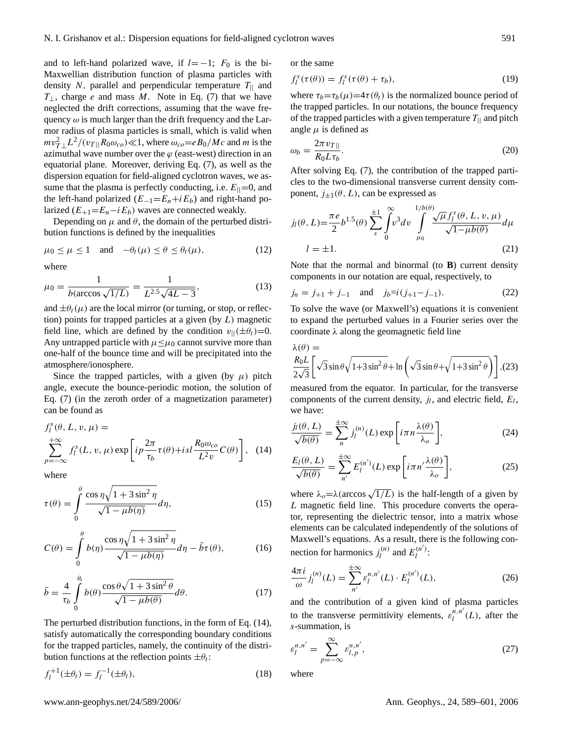and to left-hand polarized wave, if  $l=-1$ ;  $F_0$  is the bi-Maxwellian distribution function of plasma particles with density N, parallel and perpendicular temperature  $T_{\parallel}$  and  $T_{\perp}$ , charge e and mass M. Note in Eq. [\(7\)](#page-1-0) that we have neglected the drift corrections, assuming that the wave frequency  $\omega$  is much larger than the drift frequency and the Larmor radius of plasma particles is small, which is valid when  $mv_{T\perp}^2 L^2 / (v_{T\parallel} R_0 \omega_{co}) \ll 1$ , where  $\omega_{co} = e B_0 / Mc$  and m is the azimuthal wave number over the  $\varphi$  (east-west) direction in an equatorial plane. Moreover, deriving Eq. [\(7\)](#page-1-0), as well as the dispersion equation for field-aligned cyclotron waves, we assume that the plasma is perfectly conducting, i.e.  $E_{\parallel}=0$ , and the left-hand polarized ( $E_{-1} = E_n + iE_b$ ) and right-hand polarized  $(E_{+1} = E_n - i E_b)$  waves are connected weakly.

Depending on  $\mu$  and  $\theta$ , the domain of the perturbed distribution functions is defined by the inequalities

$$
\mu_0 \le \mu \le 1 \quad \text{and} \quad -\theta_t(\mu) \le \theta \le \theta_t(\mu), \tag{12}
$$

where

$$
\mu_0 = \frac{1}{b(\arccos\sqrt{1/L})} = \frac{1}{L^{2.5}\sqrt{4L - 3}},\tag{13}
$$

and  $\pm\theta_t(\mu)$  are the local mirror (or turning, or stop, or reflection) points for trapped particles at a given (by  $L$ ) magnetic field line, which are defined by the condition  $v_{\parallel}(\pm\theta_t)=0$ . Any untrapped particle with  $\mu \leq \mu_0$  cannot survive more than one-half of the bounce time and will be precipitated into the atmosphere/ionosphere.

Since the trapped particles, with a given (by  $\mu$ ) pitch angle, execute the bounce-periodic motion, the solution of Eq. [\(7\)](#page-1-0) (in the zeroth order of a magnetization parameter) can be found as

<span id="page-2-0"></span>
$$
f_l^s(\theta, L, v, \mu) =
$$
  

$$
\sum_{p=-\infty}^{+\infty} f_l^s(L, v, \mu) \exp\left[i p \frac{2\pi}{\tau_b} \tau(\theta) + isl \frac{R_0 \omega_{co}}{L^2 v} C(\theta)\right],
$$
 (14)

where

<span id="page-2-3"></span>
$$
\tau(\theta) = \int_{0}^{\theta} \frac{\cos \eta \sqrt{1 + 3 \sin^2 \eta}}{\sqrt{1 - \mu b(\eta)}} d\eta,
$$
 (15)

$$
C(\theta) = \int_{0}^{\theta} b(\eta) \frac{\cos \eta \sqrt{1 + 3 \sin^2 \eta}}{\sqrt{1 - \mu b(\eta)}} d\eta - \bar{b}\tau(\theta),
$$
 (16)

$$
\bar{b} = \frac{4}{\tau_b} \int_{0}^{\theta_l} b(\theta) \frac{\cos \theta \sqrt{1 + 3 \sin^2 \theta}}{\sqrt{1 - \mu b(\theta)}} d\theta.
$$
 (17)

The perturbed distribution functions, in the form of Eq. [\(14\)](#page-2-0), satisfy automatically the corresponding boundary conditions for the trapped particles, namely, the continuity of the distribution functions at the reflection points  $\pm \theta_t$ :

$$
f_l^{+1}(\pm \theta_l) = f_l^{-1}(\pm \theta_l), \tag{18}
$$

or the same

$$
f_l^s(\tau(\theta)) = f_l^s(\tau(\theta) + \tau_b), \qquad (19)
$$

where  $\tau_b = \tau_b(\mu) = 4\tau(\theta_t)$  is the normalized bounce period of the trapped particles. In our notations, the bounce frequency of the trapped particles with a given temperature  $T_{\parallel}$  and pitch angle  $\mu$  is defined as

$$
\omega_b = \frac{2\pi v_{T\parallel}}{R_0 L \tau_b}.\tag{20}
$$

After solving Eq. [\(7\)](#page-1-0), the contribution of the trapped particles to the two-dimensional transverse current density component,  $j_{\pm 1}(\theta, L)$ , can be expressed as

$$
j_l(\theta, L) = \frac{\pi e}{2} b^{1.5}(\theta) \sum_{s}^{\pm 1} \int_0^{\infty} v^3 dv \int_{\mu_0}^{1/b(\theta)} \frac{\sqrt{\mu} f_l^s(\theta, L, v, \mu)}{\sqrt{1 - \mu b(\theta)}} d\mu
$$
  

$$
l = \pm 1.
$$
 (21)

Note that the normal and binormal (to **B**) current density components in our notation are equal, respectively, to

$$
j_n = j_{+1} + j_{-1}
$$
 and  $j_b=i(j_{+1}-j_{-1}).$  (22)

To solve the wave (or Maxwell's) equations it is convenient to expand the perturbed values in a Fourier series over the coordinate  $\lambda$  along the geomagnetic field line

$$
\lambda(\theta) =
$$
  
\n
$$
\frac{R_0 L}{2\sqrt{3}} \left[ \sqrt{3} \sin \theta \sqrt{1 + 3 \sin^2 \theta} + \ln \left( \sqrt{3} \sin \theta + \sqrt{1 + 3 \sin^2 \theta} \right) \right], (23)
$$

measured from the equator. In particular, for the transverse components of the current density,  $j_l$ , and electric field,  $E_l$ , we have:

$$
\frac{j_l(\theta, L)}{\sqrt{b(\theta)}} = \sum_{n=1}^{\pm \infty} j_l^{(n)}(L) \exp\left[i\pi n \frac{\lambda(\theta)}{\lambda_o}\right],
$$
 (24)

$$
\frac{E_l(\theta, L)}{\sqrt{b(\theta)}} = \sum_{n'}^{\pm \infty} E_l^{(n')} (L) \exp\left[i\pi n' \frac{\lambda(\theta)}{\lambda_o}\right],
$$
 (25)

where  $\lambda_o = \lambda (\arccos \sqrt{1/L})$  is the half-length of a given by L magnetic field line. This procedure converts the operator, representing the dielectric tensor, into a matrix whose elements can be calculated independently of the solutions of Maxwell's equations. As a result, there is the following connection for harmonics  $j_l^{(n)}$  $E_l^{(n)}$  and  $E_l^{(n')}$  $\frac{n}{l}$ :

<span id="page-2-1"></span>
$$
\frac{4\pi i}{\omega} j_l^{(n)}(L) = \sum_{n'}^{\pm \infty} \varepsilon_l^{n,n'}(L) \cdot E_l^{(n')}(L),\tag{26}
$$

and the contribution of a given kind of plasma particles to the transverse permittivity elements,  $\varepsilon_l^{n,n'}(L)$ , after the s-summation, is

<span id="page-2-2"></span>
$$
\varepsilon_l^{n,n'} = \sum_{p=-\infty}^{\infty} \varepsilon_{l,p}^{n,n'},\tag{27}
$$

where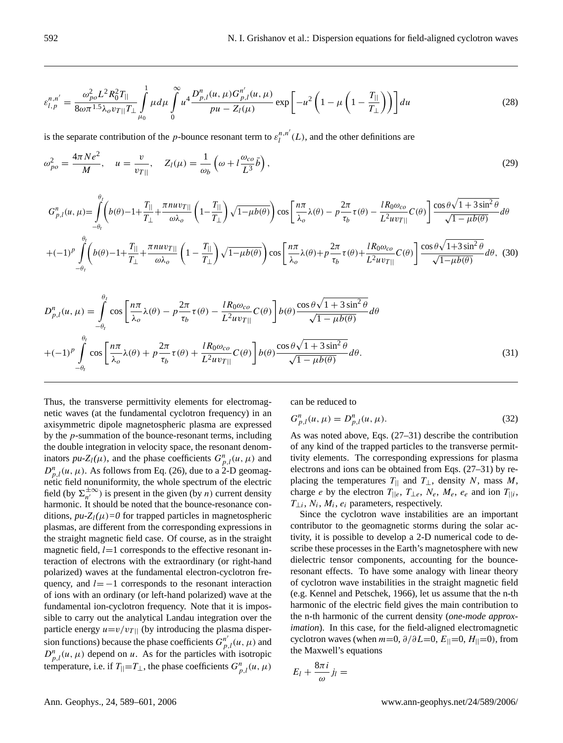<span id="page-3-0"></span>
$$
\varepsilon_{l,p}^{n,n'} = \frac{\omega_{po}^2 L^2 R_0^2 T_{||}}{8\omega \pi^{1.5} \lambda_o v_{T||} T_{\perp}} \int_{\mu_0}^1 \mu d\mu \int_0^\infty u^4 \frac{D_{p,l}^n(u,\mu) G_{p,l}^{n'}(u,\mu)}{pu - Z_l(\mu)} \exp\left[-u^2 \left(1 - \mu \left(1 - \frac{T_{||}}{T_{\perp}}\right)\right)\right] du\tag{28}
$$

is the separate contribution of the p-bounce resonant term to  $\varepsilon_l^{n,n'}(L)$ , and the other definitions are

$$
\omega_{po}^2 = \frac{4\pi Ne^2}{M}, \quad u = \frac{v}{v_{T\parallel}}, \quad Z_l(\mu) = \frac{1}{\omega_b} \left( \omega + l \frac{\omega_{co}}{L^3} \bar{b} \right), \tag{29}
$$

$$
G_{p,l}^{n}(u,\mu) = \int_{-\theta_{l}}^{\theta_{l}} \left(b(\theta)-1+\frac{T_{||}}{T_{\perp}}+\frac{\pi nu v_{T||}}{\omega\lambda_{o}}\left(1-\frac{T_{||}}{T_{\perp}}\right)\sqrt{1-\mu b(\theta)}\right)\cos\left[\frac{n\pi}{\lambda_{o}}\lambda(\theta)-p\frac{2\pi}{\tau_{b}}\tau(\theta)-\frac{lR_{0}\omega_{co}}{L^{2}uv_{T||}}C(\theta)\right]\frac{\cos\theta\sqrt{1+3\sin^{2}\theta}}{\sqrt{1-\mu b(\theta)}}d\theta
$$
  
+ $(-1)^{p}\int_{-\theta_{l}}^{\theta_{l}} \left(b(\theta)-1+\frac{T_{||}}{T_{\perp}}+\frac{\pi nu v_{T||}}{\omega\lambda_{o}}\left(1-\frac{T_{||}}{T_{\perp}}\right)\sqrt{1-\mu b(\theta)}\right)\cos\left[\frac{n\pi}{\lambda_{o}}\lambda(\theta)+p\frac{2\pi}{\tau_{b}}\tau(\theta)+\frac{lR_{0}\omega_{co}}{L^{2}uv_{T||}}C(\theta)\right]\frac{\cos\theta\sqrt{1+3\sin^{2}\theta}}{\sqrt{1-\mu b(\theta)}}d\theta, (30)$ 

$$
D_{p,l}^{n}(u,\mu) = \int_{-\theta_{l}}^{\theta_{l}} \cos\left[\frac{n\pi}{\lambda_{o}}\lambda(\theta) - p\frac{2\pi}{\tau_{b}}\tau(\theta) - \frac{lR_{0}\omega_{co}}{L^{2}uv_{T||}}C(\theta)\right]b(\theta)\frac{\cos\theta\sqrt{1+3\sin^{2}\theta}}{\sqrt{1-\mu b(\theta)}}d\theta
$$
  
+ $(-1)^{p}\int_{-\theta_{l}}^{\theta_{l}} \cos\left[\frac{n\pi}{\lambda_{o}}\lambda(\theta) + p\frac{2\pi}{\tau_{b}}\tau(\theta) + \frac{lR_{0}\omega_{co}}{L^{2}uv_{T||}}C(\theta)\right]b(\theta)\frac{\cos\theta\sqrt{1+3\sin^{2}\theta}}{\sqrt{1-\mu b(\theta)}}d\theta.$  (31)

Thus, the transverse permittivity elements for electromagnetic waves (at the fundamental cyclotron frequency) in an axisymmetric dipole magnetospheric plasma are expressed by the p-summation of the bounce-resonant terms, including the double integration in velocity space, the resonant denominators  $pu\text{-}Z_l(\mu)$ , and the phase coefficients  $G_{p,l}^n(u,\mu)$  and  $D_{p,l}^n(u, \mu)$ . As follows from Eq. [\(26\)](#page-2-1), due to a 2-D geomagnetic field nonuniformity, the whole spectrum of the electric field (by  $\Sigma_{n'}^{\pm\infty}$  $\sum_{n'}^{\pm \infty}$ ) is present in the given (by *n*) current density harmonic. It should be noted that the bounce-resonance conditions,  $pu - Z_l(\mu) = 0$  for trapped particles in magnetospheric plasmas, are different from the corresponding expressions in the straight magnetic field case. Of course, as in the straight magnetic field,  $l=1$  corresponds to the effective resonant interaction of electrons with the extraordinary (or right-hand polarized) waves at the fundamental electron-cyclotron frequency, and  $l=-1$  corresponds to the resonant interaction of ions with an ordinary (or left-hand polarized) wave at the fundamental ion-cyclotron frequency. Note that it is impossible to carry out the analytical Landau integration over the particle energy  $u=v/v_{T||}$  (by introducing the plasma dispersion functions) because the phase coefficients  $G_{p,l}^{n'}(u, \mu)$  and  $D_{p,l}^n(u, \mu)$  depend on u. As for the particles with isotropic temperature, i.e. if  $T_{\parallel} = T_{\perp}$ , the phase coefficients  $G_{p,l}^n(u, \mu)$ 

can be reduced to

$$
G_{p,l}^{n}(u,\mu) = D_{p,l}^{n}(u,\mu).
$$
\n(32)

As was noted above, Eqs. (27–31) describe the contribution of any kind of the trapped particles to the transverse permittivity elements. The corresponding expressions for plasma electrons and ions can be obtained from Eqs. (27–31) by replacing the temperatures  $T_{\parallel}$  and  $T_{\perp}$ , density N, mass M, charge *e* by the electron  $T_{\parallel e}$ ,  $T_{\perp e}$ ,  $N_e$ ,  $M_e$ ,  $e_e$  and ion  $T_{\parallel i}$ ,  $T_{\perp i}$ ,  $N_i$ ,  $M_i$ ,  $e_i$  parameters, respectively.

Since the cyclotron wave instabilities are an important contributor to the geomagnetic storms during the solar activity, it is possible to develop a 2-D numerical code to describe these processes in the Earth's magnetosphere with new dielectric tensor components, accounting for the bounceresonant effects. To have some analogy with linear theory of cyclotron wave instabilities in the straight magnetic field (e.g. Kennel and Petschek, 1966), let us assume that the n-th harmonic of the electric field gives the main contribution to the n-th harmonic of the current density (*one-mode approximation*). In this case, for the field-aligned electromagnetic cyclotron waves (when  $m=0$ ,  $\partial/\partial L=0$ ,  $E_{\parallel}=0$ ,  $H_{\parallel}=0$ ), from the Maxwell's equations

$$
E_l+\frac{8\pi i}{\omega}j_l=
$$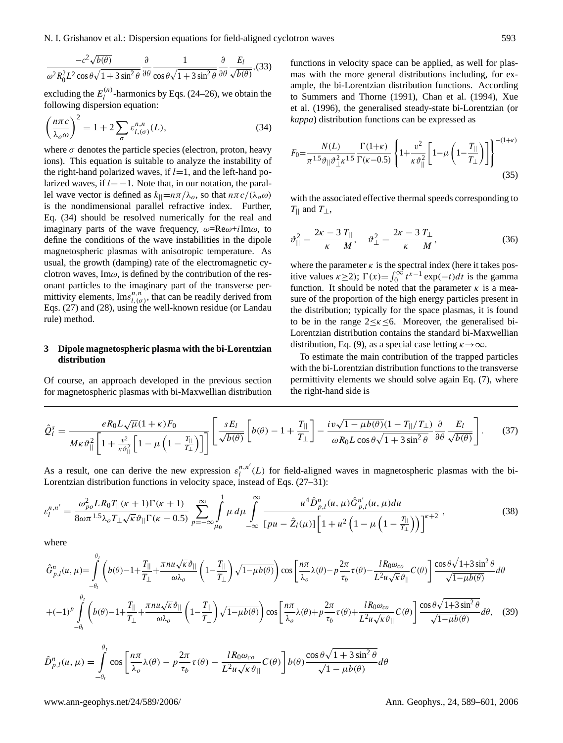N. I. Grishanov et al.: Dispersion equations for field-aligned cyclotron waves 593

$$
\frac{-c^2\sqrt{b(\theta)}}{\omega^2 R_0^2 L^2 \cos\theta \sqrt{1+3\sin^2\theta}} \frac{\partial}{\partial \theta} \frac{1}{\cos\theta \sqrt{1+3\sin^2\theta}} \frac{\partial}{\partial \theta} \frac{E_l}{\sqrt{b(\theta)}} (33)
$$

excluding the  $E_l^{(n)}$  $\binom{n}{l}$ -harmonics by Eqs. (24–26), we obtain the following dispersion equation:

<span id="page-4-0"></span>
$$
\left(\frac{n\pi c}{\lambda_o\omega}\right)^2 = 1 + 2\sum_{\sigma} \varepsilon_{l,(\sigma)}^{n,n}(L),\tag{34}
$$

where  $\sigma$  denotes the particle species (electron, proton, heavy ions). This equation is suitable to analyze the instability of the right-hand polarized waves, if  $l=1$ , and the left-hand polarized waves, if  $l = -1$ . Note that, in our notation, the parallel wave vector is defined as  $k_{\parallel} = n\pi/\lambda_o$ , so that  $n\pi c/(\lambda_o\omega)$ is the nondimensional parallel refractive index. Further, Eq. [\(34\)](#page-4-0) should be resolved numerically for the real and imaginary parts of the wave frequency,  $\omega = \text{Re}\omega + i \text{Im}\omega$ , to define the conditions of the wave instabilities in the dipole magnetospheric plasmas with anisotropic temperature. As usual, the growth (damping) rate of the electromagnetic cyclotron waves,  $\text{Im}\omega$ , is defined by the contribution of the resonant particles to the imaginary part of the transverse permittivity elements,  $\text{Im} \varepsilon^{n,n}_{l,(\sigma)}$ , that can be readily derived from Eqs. [\(27\)](#page-2-2) and [\(28\)](#page-3-0), using the well-known residue (or Landau rule) method.

# **3 Dipole magnetospheric plasma with the bi-Lorentzian distribution**

Of course, an approach developed in the previous section for magnetospheric plasmas with bi-Maxwellian distribution functions in velocity space can be applied, as well for plasmas with the more general distributions including, for example, the bi-Lorentzian distribution functions. According to Summers and Thorne (1991), Chan et al. (1994), Xue et al. (1996), the generalised steady-state bi-Lorentzian (or *kappa*) distribution functions can be expressed as

$$
F_0 = \frac{N(L)}{\pi^{1.5} \vartheta_{||} \vartheta_{\perp}^2 \kappa^{1.5}} \frac{\Gamma(1+\kappa)}{\Gamma(\kappa-0.5)} \left\{ 1 + \frac{v^2}{\kappa \vartheta_{||}^2} \left[ 1 - \mu \left( 1 - \frac{T_{||}}{T_{\perp}} \right) \right] \right\}^{-(1+\kappa)}
$$
(35)

with the associated effective thermal speeds corresponding to  $T_{\parallel}$  and  $T_{\perp}$ ,

$$
\vartheta_{\parallel}^2 = \frac{2\kappa - 3}{\kappa} \frac{T_{\parallel}}{M}, \quad \vartheta_{\perp}^2 = \frac{2\kappa - 3}{\kappa} \frac{T_{\perp}}{M}, \tag{36}
$$

where the parameter  $\kappa$  is the spectral index (here it takes positive values  $\kappa \ge 2$ );  $\Gamma(x) = \int_0^\infty t^{x-1} \exp(-t) dt$  is the gamma function. It should be noted that the parameter  $\kappa$  is a measure of the proportion of the high energy particles present in the distribution; typically for the space plasmas, it is found to be in the range  $2 \leq \kappa \leq 6$ . Moreover, the generalised bi-Lorentzian distribution contains the standard bi-Maxwellian distribution, Eq. [\(9\)](#page-1-1), as a special case letting  $\kappa \rightarrow \infty$ .

To estimate the main contribution of the trapped particles with the bi-Lorentzian distribution functions to the transverse permittivity elements we should solve again Eq. [\(7\)](#page-1-0), where the right-hand side is

$$
\hat{Q}_{l}^{s} = \frac{eR_{0}L\sqrt{\mu}(1+\kappa)F_{0}}{M\kappa\vartheta_{\parallel}^{2}\left[1+\frac{v^{2}}{\kappa\vartheta_{\parallel}^{2}}\left[1-\mu\left(1-\frac{T_{\parallel}}{T_{\perp}}\right)\right]\right]} \left[\frac{sE_{l}}{\sqrt{b(\theta)}}\left[b(\theta)-1+\frac{T_{\parallel}}{T_{\perp}}\right] - \frac{iv\sqrt{1-\mu b(\theta)}(1-T_{\parallel}/T_{\perp})}{\omega R_{0}L\cos\theta\sqrt{1+3\sin^{2}\theta}}\frac{\partial}{\partial\theta}\frac{E_{l}}{\sqrt{b(\theta)}}\right].
$$
 (37)

As a result, one can derive the new expression  $\varepsilon_l^{n,n'}(L)$  for field-aligned waves in magnetospheric plasmas with the bi-Lorentzian distribution functions in velocity space, instead of Eqs. (27–31):

<span id="page-4-1"></span>
$$
\varepsilon_{l}^{n,n'} = \frac{\omega_{po}^2 LR_0 T_{||}(\kappa+1)\Gamma(\kappa+1)}{8\omega\pi^{1.5}\lambda_o T_{\perp}\sqrt{\kappa}\vartheta_{||}\Gamma(\kappa-0.5)} \sum_{p=-\infty}^{\infty} \int_{\mu_0}^{1} \mu \, d\mu \int_{-\infty}^{\infty} \frac{u^4 \hat{D}_{p,l}^n(u,\mu) \hat{G}_{p,l}^{n'}(u,\mu) du}{[pu - \hat{Z}_l(\mu)] \left[1 + u^2 \left(1 - \mu \left(1 - \frac{T_{||}}{T_{\perp}}\right)\right)\right]^{\kappa+2}},
$$
\n(38)

where

$$
\hat{G}_{p,l}^{n}(u,\mu) = \int_{-\theta_{l}}^{\theta_{l}} \left( b(\theta) - 1 + \frac{T_{||}}{T_{\perp}} + \frac{\pi n u \sqrt{\kappa} \vartheta_{||}}{\omega \lambda_{o}} \left( 1 - \frac{T_{||}}{T_{\perp}} \right) \sqrt{1 - \mu b(\theta)} \right) \cos \left[ \frac{n \pi}{\lambda_{o}} \lambda(\theta) - p \frac{2 \pi}{\tau_{b}} \tau(\theta) - \frac{l R_{0} \omega_{co}}{L^{2} u \sqrt{\kappa} \vartheta_{||}} C(\theta) \right] \frac{\cos \theta \sqrt{1 + 3 \sin^{2} \theta}}{\sqrt{1 - \mu b(\theta)}} d\theta
$$
\n
$$
+ (-1)^{p} \int_{-\theta_{l}}^{\theta_{l}} \left( b(\theta) - 1 + \frac{T_{||}}{T_{\perp}} + \frac{\pi n u \sqrt{\kappa} \vartheta_{||}}{\omega \lambda_{o}} \left( 1 - \frac{T_{||}}{T_{\perp}} \right) \sqrt{1 - \mu b(\theta)} \right) \cos \left[ \frac{n \pi}{\lambda_{o}} \lambda(\theta) + p \frac{2 \pi}{\tau_{b}} \tau(\theta) + \frac{l R_{0} \omega_{co}}{L^{2} u \sqrt{\kappa} \vartheta_{||}} C(\theta) \right] \frac{\cos \theta \sqrt{1 + 3 \sin^{2} \theta}}{\sqrt{1 - \mu b(\theta)}} d\theta, \quad (39)
$$

$$
\hat{D}_{p,l}^{n}(u,\mu) = \int_{-\theta_{l}}^{\theta_{l}} \cos\left[\frac{n\pi}{\lambda_{o}}\lambda(\theta) - p\frac{2\pi}{\tau_{b}}\tau(\theta) - \frac{lR_{0}\omega_{co}}{L^{2}u\sqrt{\kappa}\vartheta_{||}}C(\theta)\right]b(\theta)\frac{\cos\theta\sqrt{1+3\sin^{2}\theta}}{\sqrt{1-\mu b(\theta)}}d\theta
$$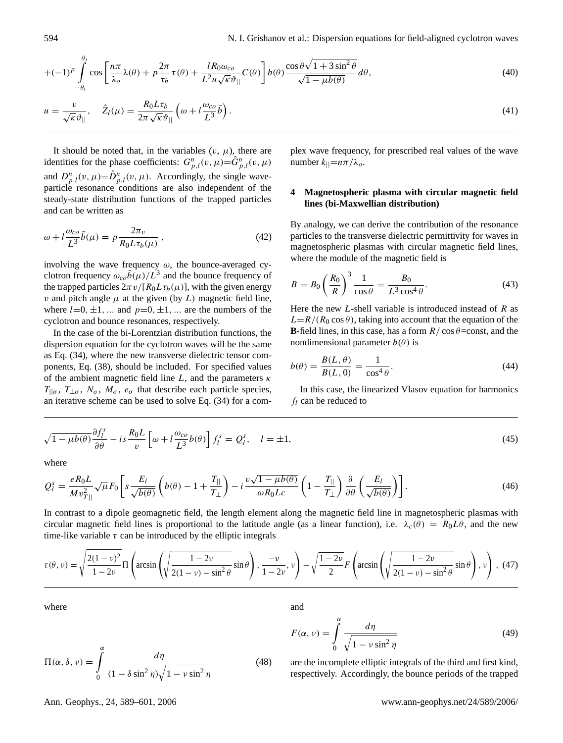$$
+(-1)^{p}\int_{-\theta_{t}}^{\theta_{t}}\cos\left[\frac{n\pi}{\lambda_{o}}\lambda(\theta)+p\frac{2\pi}{\tau_{b}}\tau(\theta)+\frac{lR_{0}\omega_{co}}{L^{2}u\sqrt{\kappa}\vartheta_{||}}C(\theta)\right]b(\theta)\frac{\cos\theta\sqrt{1+3\sin^{2}\theta}}{\sqrt{1-\mu b(\theta)}}d\theta,
$$
\n(40)

$$
u = \frac{v}{\sqrt{\kappa} \vartheta_{\parallel}}, \quad \hat{Z}_l(\mu) = \frac{R_0 L \tau_b}{2\pi \sqrt{\kappa} \vartheta_{\parallel}} \left(\omega + l \frac{\omega_{co}}{L^3} \bar{b}\right).
$$
\n(41)

It should be noted that, in the variables  $(v, \mu)$ , there are identities for the phase coefficients:  $G_{p,l}^n(v, \mu) = \hat{G}_{p,l}^n(v, \mu)$ and  $D_{p,l}^n(v, \mu) = \hat{D}_{p,l}^n(v, \mu)$ . Accordingly, the single waveparticle resonance conditions are also independent of the steady-state distribution functions of the trapped particles and can be written as

$$
\omega + l \frac{\omega_{co}}{L^3} \bar{b}(\mu) = p \frac{2\pi_v}{R_0 L \tau_b(\mu)}, \qquad (42)
$$

involving the wave frequency  $\omega$ , the bounce-averaged cyclotron frequency  $\omega_{co}\bar{b}(\mu)/L^3$  and the bounce frequency of the trapped particles  $2\pi v/[R_0L\tau_b(\mu)]$ , with the given energy v and pitch angle  $\mu$  at the given (by L) magnetic field line, where  $l=0, \pm 1, \ldots$  and  $p=0, \pm 1, \ldots$  are the numbers of the cyclotron and bounce resonances, respectively.

In the case of the bi-Lorentzian distribution functions, the dispersion equation for the cyclotron waves will be the same as Eq. [\(34\)](#page-4-0), where the new transverse dielectric tensor components, Eq. [\(38\)](#page-4-1), should be included. For specified values of the ambient magnetic field line L, and the parameters  $\kappa$  $T_{\parallel \sigma}$ ,  $T_{\perp \sigma}$ ,  $N_{\sigma}$ ,  $M_{\sigma}$ ,  $e_{\sigma}$  that describe each particle species, an iterative scheme can be used to solve Eq. [\(34\)](#page-4-0) for a complex wave frequency, for prescribed real values of the wave number  $k_{\parallel} = n\pi/\lambda_o$ .

## **4 Magnetospheric plasma with circular magnetic field lines (bi-Maxwellian distribution)**

By analogy, we can derive the contribution of the resonance particles to the transverse dielectric permittivity for waves in magnetospheric plasmas with circular magnetic field lines, where the module of the magnetic field is

$$
B = B_0 \left(\frac{R_0}{R}\right)^3 \frac{1}{\cos \theta} = \frac{B_0}{L^3 \cos^4 \theta}.
$$
 (43)

Here the new  $L$ -shell variable is introduced instead of  $R$  as  $L=R/(R_0 \cos \theta)$ , taking into account that the equation of the **B**-field lines, in this case, has a form  $R / \cos \theta = \text{const}$ , and the nondimensional parameter  $b(\theta)$  is

$$
b(\theta) = \frac{B(L, \theta)}{B(L, 0)} = \frac{1}{\cos^4 \theta}.
$$
\n(44)

In this case, the linearized Vlasov equation for harmonics  $f_l$  can be reduced to

$$
\sqrt{1-\mu b(\theta)}\frac{\partial f_l^s}{\partial \theta} - is\frac{R_0 L}{v} \left[\omega + l\frac{\omega_{co}}{L^3}b(\theta)\right]f_l^s = Q_l^s, \quad l = \pm 1,
$$
\n(45)

where

$$
Q_l^s = \frac{eR_0L}{Mv_{T\parallel}^2} \sqrt{\mu} F_0 \left[ s \frac{E_l}{\sqrt{b(\theta)}} \left( b(\theta) - 1 + \frac{T_{\parallel}}{T_{\perp}} \right) - i \frac{v\sqrt{1 - \mu b(\theta)}}{\omega R_0 Lc} \left( 1 - \frac{T_{\parallel}}{T_{\perp}} \right) \frac{\partial}{\partial \theta} \left( \frac{E_l}{\sqrt{b(\theta)}} \right) \right].
$$
 (46)

In contrast to a dipole geomagnetic field, the length element along the magnetic field line in magnetospheric plasmas with circular magnetic field lines is proportional to the latitude angle (as a linear function), i.e.  $\lambda_c(\theta) = R_0 L \theta$ , and the new time-like variable  $\tau$  can be introduced by the elliptic integrals

<span id="page-5-0"></span>
$$
\tau(\theta,\nu) = \sqrt{\frac{2(1-\nu)^2}{1-2\nu}} \Pi\left(\arcsin\left(\sqrt{\frac{1-2\nu}{2(1-\nu)-\sin^2\theta}}\sin\theta\right), \frac{-\nu}{1-2\nu}, \nu\right) - \sqrt{\frac{1-2\nu}{2}} F\left(\arcsin\left(\sqrt{\frac{1-2\nu}{2(1-\nu)-\sin^2\theta}}\sin\theta\right), \nu\right), (47)
$$

where

$$
\Pi(\alpha, \delta, \nu) = \int_{0}^{\alpha} \frac{d\eta}{(1 - \delta \sin^2 \eta)\sqrt{1 - \nu \sin^2 \eta}}
$$
(48)

and

$$
F(\alpha, \nu) = \int_{0}^{\alpha} \frac{d\eta}{\sqrt{1 - \nu \sin^2 \eta}}
$$
(49)

are the incomplete elliptic integrals of the third and first kind, respectively. Accordingly, the bounce periods of the trapped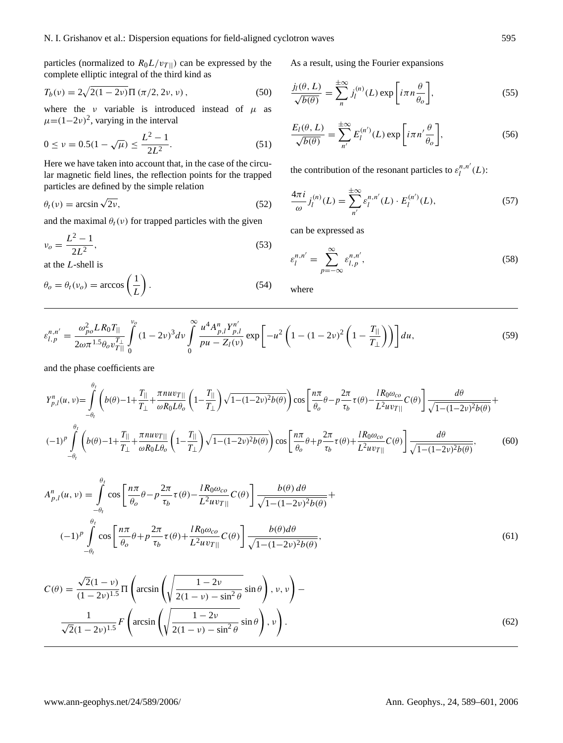particles (normalized to  $R_0L/v_{T\parallel}$ ) can be expressed by the complete elliptic integral of the third kind as

$$
T_b(v) = 2\sqrt{2(1-2v)}\Pi\left(\pi/2, 2v, v\right),\tag{50}
$$

where the *v* variable is introduced instead of  $\mu$  as  $\mu = (1 - 2\nu)^2$ , varying in the interval

$$
0 \le \nu = 0.5(1 - \sqrt{\mu}) \le \frac{L^2 - 1}{2L^2}.
$$
 (51)

Here we have taken into account that, in the case of the circular magnetic field lines, the reflection points for the trapped particles are defined by the simple relation

$$
\theta_t(v) = \arcsin\sqrt{2v},\tag{52}
$$

and the maximal  $\theta_t(v)$  for trapped particles with the given

$$
v_o = \frac{L^2 - 1}{2L^2},\tag{53}
$$

at the L-shell is

$$
\theta_o = \theta_t(\nu_o) = \arccos\left(\frac{1}{L}\right). \tag{54}
$$

As a result, using the Fourier expansions

$$
\frac{j_l(\theta, L)}{\sqrt{b(\theta)}} = \sum_{n=1}^{\pm \infty} j_l^{(n)}(L) \exp\left[i\pi n \frac{\theta}{\theta_o}\right],\tag{55}
$$

$$
\frac{E_l(\theta, L)}{\sqrt{b(\theta)}} = \sum_{n'}^{\pm \infty} E_l^{(n')} (L) \exp\left[i\pi n' \frac{\theta}{\theta_o}\right],\tag{56}
$$

the contribution of the resonant particles to  $\varepsilon_l^{n,n'}(L)$ :

$$
\frac{4\pi i}{\omega} j_l^{(n)}(L) = \sum_{n'}^{\pm \infty} \varepsilon_l^{n,n'}(L) \cdot E_l^{(n')}(L),\tag{57}
$$

can be expressed as

<span id="page-6-0"></span>
$$
\varepsilon_l^{n,n'} = \sum_{p=-\infty}^{\infty} \varepsilon_{l,p}^{n,n'},\tag{58}
$$

where

<span id="page-6-1"></span>
$$
\varepsilon_{l,p}^{n,n'} = \frac{\omega_{po}^2 LR_0 T_{||}}{2\omega \pi^{1.5} \theta_o v_{T||}^{T_{||}}}\int\limits_{0}^{v_o} (1 - 2\nu)^3 dv \int\limits_{0}^{\infty} \frac{u^4 A_{p,l}^n Y_{p,l}^{n'}}{pu - Z_l(\nu)} \exp\left[-u^2 \left(1 - (1 - 2\nu)^2 \left(1 - \frac{T_{||}}{T_{\perp}}\right)\right)\right] du,\tag{59}
$$

and the phase coefficients are

$$
Y_{p,l}^{n}(u,v) = \int_{-\theta_{l}}^{\theta_{l}} \left( b(\theta) - 1 + \frac{T_{||}}{T_{\perp}} + \frac{\pi n u v_{T||}}{\omega R_{0} L \theta_{o}} \left( 1 - \frac{T_{||}}{T_{\perp}} \right) \sqrt{1 - (1 - 2v)^{2} b(\theta)} \right) \cos \left[ \frac{n \pi}{\theta_{o}} \theta - p \frac{2 \pi}{\tau_{b}} \tau(\theta) - \frac{l R_{0} \omega_{co}}{L^{2} u v_{T||}} C(\theta) \right] \frac{d\theta}{\sqrt{1 - (1 - 2v)^{2} b(\theta)}} +
$$
  

$$
(-1)^{p} \int_{-\theta_{l}}^{\theta_{l}} \left( b(\theta) - 1 + \frac{T_{||}}{T_{\perp}} + \frac{\pi n u v_{T||}}{\omega R_{0} L \theta_{o}} \left( 1 - \frac{T_{||}}{T_{\perp}} \right) \sqrt{1 - (1 - 2v)^{2} b(\theta)} \right) \cos \left[ \frac{n \pi}{\theta_{o}} \theta + p \frac{2 \pi}{\tau_{b}} \tau(\theta) + \frac{l R_{0} \omega_{co}}{L^{2} u v_{T||}} C(\theta) \right] \frac{d\theta}{\sqrt{1 - (1 - 2v)^{2} b(\theta)}},
$$
(60)

$$
A_{p,l}^{n}(u,v) = \int_{-\theta_{l}}^{\theta_{l}} \cos\left[\frac{n\pi}{\theta_{o}}\theta - p\frac{2\pi}{\tau_{b}}\tau(\theta) - \frac{lR_{0}\omega_{co}}{L^{2}uv_{T||}}C(\theta)\right] \frac{b(\theta) d\theta}{\sqrt{1-(1-2v)^{2}b(\theta)}} +
$$
  

$$
(-1)^{p} \int_{-\theta_{l}}^{\theta_{l}} \cos\left[\frac{n\pi}{\theta_{o}}\theta + p\frac{2\pi}{\tau_{b}}\tau(\theta) + \frac{lR_{0}\omega_{co}}{L^{2}uv_{T||}}C(\theta)\right] \frac{b(\theta) d\theta}{\sqrt{1-(1-2v)^{2}b(\theta)}},
$$
(61)

$$
C(\theta) = \frac{\sqrt{2}(1-\nu)}{(1-2\nu)^{1.5}} \Pi \left( \arcsin\left(\sqrt{\frac{1-2\nu}{2(1-\nu)-\sin^2\theta}}\sin\theta\right), \nu, \nu \right) - \frac{1}{\sqrt{2}(1-2\nu)^{1.5}} F \left( \arcsin\left(\sqrt{\frac{1-2\nu}{2(1-\nu)-\sin^2\theta}}\sin\theta\right), \nu \right).
$$
\n(62)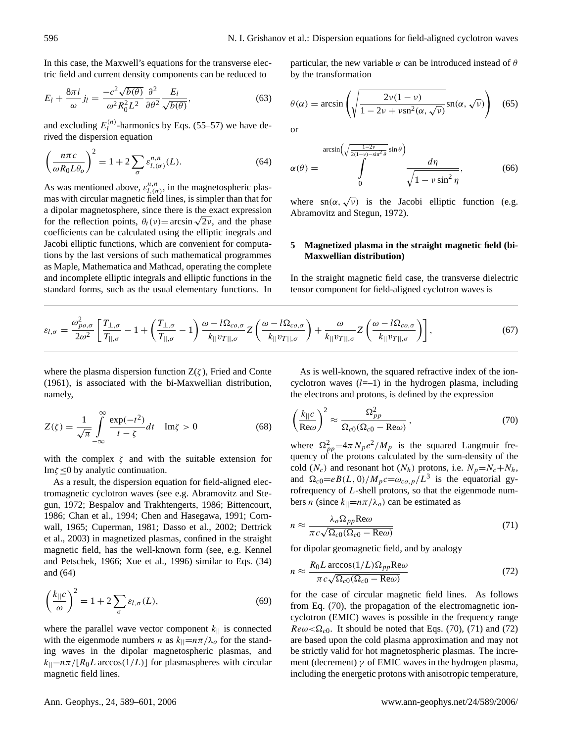In this case, the Maxwell's equations for the transverse electric field and current density components can be reduced to

$$
E_l + \frac{8\pi i}{\omega} j_l = \frac{-c^2 \sqrt{b(\theta)}}{\omega^2 R_0^2 L^2} \frac{\partial^2}{\partial \theta^2} \frac{E_l}{\sqrt{b(\theta)}},
$$
(63)

and excluding  $E_l^{(n)}$  $\binom{n}{l}$ -harmonics by Eqs. (55–57) we have derived the dispersion equation

<span id="page-7-0"></span>
$$
\left(\frac{n\pi c}{\omega R_0 L \theta_o}\right)^2 = 1 + 2 \sum_{\sigma} \varepsilon_{l,(\sigma)}^{n,n}(L). \tag{64}
$$

As was mentioned above,  $\varepsilon_{l,(\sigma)}^{n,n}$ , in the magnetospheric plasmas with circular magnetic field lines, is simpler than that for a dipolar magnetosphere, since there is the exact expression a dipolar magnetosphere, since there is the exact expression<br>for the reflection points,  $\theta_t(v) = \arcsin \sqrt{2v}$ , and the phase coefficients can be calculated using the elliptic inegrals and Jacobi elliptic functions, which are convenient for computations by the last versions of such mathematical programmes as Maple, Mathematica and Mathcad, operating the complete and incomplete elliptic integrals and elliptic functions in the standard forms, such as the usual elementary functions. In particular, the new variable  $\alpha$  can be introduced instead of  $\theta$ by the transformation

$$
\theta(\alpha) = \arcsin\left(\sqrt{\frac{2\nu(1-\nu)}{1-2\nu+\nu\operatorname{sn}^2(\alpha,\sqrt{\nu})}}\operatorname{sn}(\alpha,\sqrt{\nu})\right) \quad (65)
$$

or

$$
\alpha(\theta) = \int_{0}^{\arcsin\left(\sqrt{\frac{1-2\nu}{2(1-\nu)-\sin^2\theta}}\sin\theta\right)} \frac{d\eta}{\sqrt{1-\nu\sin^2\eta}},
$$
(66)

where  $\text{sn}(\alpha, \sqrt{\nu})$  is the Jacobi elliptic function (e.g. Abramovitz and Stegun, 1972).

#### **5 Magnetized plasma in the straight magnetic field (bi-Maxwellian distribution)**

In the straight magnetic field case, the transverse dielectric tensor component for field-aligned cyclotron waves is

$$
\varepsilon_{l,\sigma} = \frac{\omega_{po,\sigma}^2}{2\omega^2} \left[ \frac{T_{\perp,\sigma}}{T_{\parallel,\sigma}} - 1 + \left( \frac{T_{\perp,\sigma}}{T_{\parallel,\sigma}} - 1 \right) \frac{\omega - l\Omega_{co,\sigma}}{k_{\parallel} v_{T\parallel,\sigma}} Z \left( \frac{\omega - l\Omega_{co,\sigma}}{k_{\parallel} v_{T\parallel,\sigma}} \right) + \frac{\omega}{k_{\parallel} v_{T\parallel,\sigma}} Z \left( \frac{\omega - l\Omega_{co,\sigma}}{k_{\parallel} v_{T\parallel,\sigma}} \right) \right],
$$
(67)

where the plasma dispersion function  $Z(\zeta)$ , Fried and Conte (1961), is associated with the bi-Maxwellian distribution, namely,

$$
Z(\zeta) = \frac{1}{\sqrt{\pi}} \int_{-\infty}^{\infty} \frac{\exp(-t^2)}{t - \zeta} dt \quad \text{Im}\zeta > 0
$$
 (68)

with the complex  $\zeta$  and with the suitable extension for Im $\zeta \leq 0$  by analytic continuation.

As a result, the dispersion equation for field-aligned electromagnetic cyclotron waves (see e.g. Abramovitz and Stegun, 1972; Bespalov and Trakhtengerts, 1986; Bittencourt, 1986; Chan et al., 1994; Chen and Hasegawa, 1991; Cornwall, 1965; Cuperman, 1981; Dasso et al., 2002; Dettrick et al., 2003) in magnetized plasmas, confined in the straight magnetic field, has the well-known form (see, e.g. Kennel and Petschek, 1966; Xue et al., 1996) similar to Eqs. [\(34\)](#page-4-0) and [\(64\)](#page-7-0)

$$
\left(\frac{k_{\parallel}c}{\omega}\right)^2 = 1 + 2\sum_{\sigma}\varepsilon_{l,\sigma}(L),\tag{69}
$$

where the parallel wave vector component  $k_{\parallel}$  is connected with the eigenmode numbers n as  $k_{\parallel} = n\pi/\lambda_o$  for the standing waves in the dipolar magnetospheric plasmas, and  $k_{\parallel} = n\pi/[R_0L \arccos(1/L)]$  for plasmaspheres with circular magnetic field lines.

As is well-known, the squared refractive index of the ioncyclotron waves  $(l=-1)$  in the hydrogen plasma, including the electrons and protons, is defined by the expression

<span id="page-7-1"></span>
$$
\left(\frac{k_{\parallel}c}{\text{Re}\omega}\right)^2 \approx \frac{\Omega_{pp}^2}{\Omega_{c0}(\Omega_{c0} - \text{Re}\omega)}\,,\tag{70}
$$

where  $\Omega_{pp}^2 = 4\pi N_p e^2 / M_p$  is the squared Langmuir frequency of the protons calculated by the sum-density of the cold  $(N_c)$  and resonant hot  $(N_h)$  protons, i.e.  $N_p = N_c + N_h$ , and  $\Omega_{c0} = eB(L, 0)/M_p c = \omega_{co, p}/L^3$  is the equatorial gyrofrequency of L-shell protons, so that the eigenmode numbers n (since  $k_{\parallel} = n\pi/\lambda_o$ ) can be estimated as

<span id="page-7-2"></span>
$$
n \approx \frac{\lambda_o \Omega_{pp} \text{Re}\omega}{\pi c \sqrt{\Omega_{c0} (\Omega_{c0} - \text{Re}\omega)}}
$$
(71)

for dipolar geomagnetic field, and by analogy

<span id="page-7-3"></span>
$$
n \approx \frac{R_0 L \arccos(1/L)\Omega_{pp} \text{Re}\omega}{\pi c \sqrt{\Omega_{c0}(\Omega_{c0} - \text{Re}\omega)}}
$$
(72)

for the case of circular magnetic field lines. As follows from Eq. [\(70\)](#page-7-1), the propagation of the electromagnetic ioncyclotron (EMIC) waves is possible in the frequency range  $Re\omega < \Omega_{c0}$ . It should be noted that Eqs. [\(70\)](#page-7-1), [\(71\)](#page-7-2) and [\(72\)](#page-7-3) are based upon the cold plasma approximation and may not be strictly valid for hot magnetospheric plasmas. The increment (decrement)  $\gamma$  of EMIC waves in the hydrogen plasma, including the energetic protons with anisotropic temperature,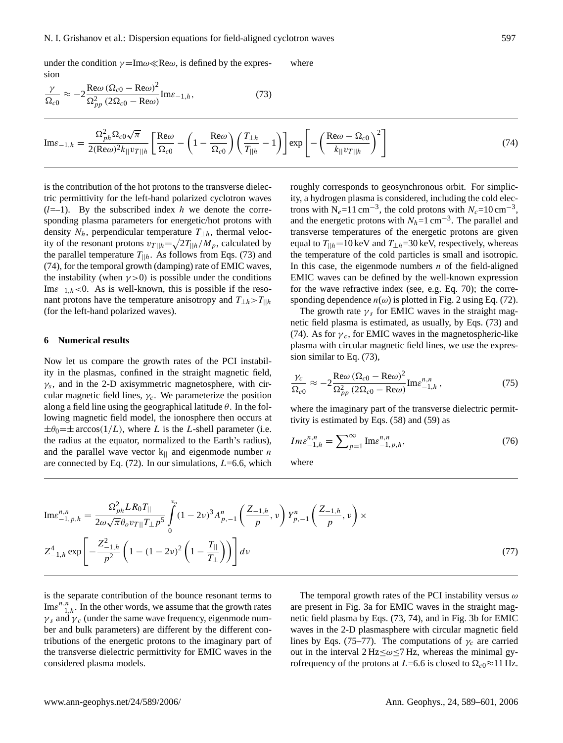under the condition  $\gamma = \text{Im}\omega \ll \text{Re}\omega$ , is defined by the expression where

<span id="page-8-0"></span>
$$
\frac{\gamma}{\Omega_{c0}} \approx -2 \frac{\text{Re}\omega \left(\Omega_{c0} - \text{Re}\omega\right)^2}{\Omega_{pp}^2 \left(2\Omega_{c0} - \text{Re}\omega\right)} \text{Im}\varepsilon_{-1,h},\tag{73}
$$

<span id="page-8-1"></span>
$$
\text{Im}\varepsilon_{-1,h} = \frac{\Omega_{ph}^2 \Omega_{c0} \sqrt{\pi}}{2(\text{Re}\omega)^2 k_{\parallel} v_{T\parallel h}} \left[ \frac{\text{Re}\omega}{\Omega_{c0}} - \left( 1 - \frac{\text{Re}\omega}{\Omega_{c0}} \right) \left( \frac{T_{\perp h}}{T_{\parallel h}} - 1 \right) \right] \exp \left[ - \left( \frac{\text{Re}\omega - \Omega_{c0}}{k_{\parallel} v_{T\parallel h}} \right)^2 \right] \tag{74}
$$

is the contribution of the hot protons to the transverse dielectric permittivity for the left-hand polarized cyclotron waves  $(l=-1)$ . By the subscribed index h we denote the corresponding plasma parameters for energetic/hot protons with density  $N_h$ , perpendicular temperature  $T_{\perp h}$ , thermal velocity of the resonant protons  $v_{T||h} = \sqrt{2T_{||h}/M_p}$ , calculated by the parallel temperature  $T_{||h}$ . As follows from Eqs. [\(73\)](#page-8-0) and [\(74\)](#page-8-1), for the temporal growth (damping) rate of EMIC waves, the instability (when  $\gamma > 0$ ) is possible under the conditions Im $\varepsilon_{-1,h}$  <0. As is well-known, this is possible if the resonant protons have the temperature anisotropy and  $T_{\perp h} > T_{\parallel h}$ (for the left-hand polarized waves).

#### **6 Numerical results**

Now let us compare the growth rates of the PCI instability in the plasmas, confined in the straight magnetic field,  $\gamma_s$ , and in the 2-D axisymmetric magnetosphere, with circular magnetic field lines,  $\gamma_c$ . We parameterize the position along a field line using the geographical latitude  $\theta$ . In the following magnetic field model, the ionosphere then occurs at  $\pm\theta_0=\pm \arccos(1/L)$ , where L is the L-shell parameter (i.e. the radius at the equator, normalized to the Earth's radius), and the parallel wave vector  $k_{\parallel}$  and eigenmode number *n* are connected by Eq.  $(72)$ . In our simulations,  $L=6.6$ , which roughly corresponds to geosynchronous orbit. For simplicity, a hydrogen plasma is considered, including the cold electrons with N<sub>e</sub>=11 cm<sup>-3</sup>, the cold protons with  $N_c$ =10 cm<sup>-3</sup>, and the energetic protons with  $N_h=1$  cm<sup>-3</sup>. The parallel and transverse temperatures of the energetic protons are given equal to  $T_{\parallel h}$ =10 keV and  $T_{\perp h}$ =30 keV, respectively, whereas the temperature of the cold particles is small and isotropic. In this case, the eigenmode numbers  $n$  of the field-aligned EMIC waves can be defined by the well-known expression for the wave refractive index (see, e.g. Eq. [70\)](#page-7-1); the corresponding dependence  $n(\omega)$  is plotted in Fig. 2 using Eq. [\(72\)](#page-7-3).

The growth rate  $\gamma_s$  for EMIC waves in the straight magnetic field plasma is estimated, as usually, by Eqs. [\(73\)](#page-8-0) and [\(74\)](#page-8-1). As for  $\gamma_c$ , for EMIC waves in the magnetospheric-like plasma with circular magnetic field lines, we use the expression similar to Eq. [\(73\)](#page-8-0),

$$
\frac{\gamma_c}{\Omega_{c0}} \approx -2 \frac{\text{Re}\omega (\Omega_{c0} - \text{Re}\omega)^2}{\Omega_{pp}^2 (2\Omega_{c0} - \text{Re}\omega)} \text{Im}\varepsilon_{-1,h}^{n,n},\tag{75}
$$

where the imaginary part of the transverse dielectric permittivity is estimated by Eqs. [\(58\)](#page-6-0) and [\(59\)](#page-6-1) as

$$
Im \varepsilon_{-1,h}^{n,n} = \sum_{p=1}^{\infty} \text{Im} \varepsilon_{-1,p,h}^{n,n},\tag{76}
$$

where

<span id="page-8-2"></span>
$$
\text{Im}\varepsilon_{-1,p,h}^{n,n} = \frac{\Omega_{ph}^2 L R_0 T_{||}}{2\omega\sqrt{\pi}\theta_o v_{T||} T_{\perp} p^5} \int_0^{v_o} (1 - 2v)^3 A_{p,-1}^n \left(\frac{Z_{-1,h}}{p}, v\right) Y_{p,-1}^n \left(\frac{Z_{-1,h}}{p}, v\right) \times
$$
  

$$
Z_{-1,h}^4 \exp\left[-\frac{Z_{-1,h}^2}{p^2} \left(1 - (1 - 2v)^2 \left(1 - \frac{T_{||}}{T_{\perp}}\right)\right)\right] dv
$$
 (77)

is the separate contribution of the bounce resonant terms to  $\text{Im}\varepsilon_{-1,h}^{n,n}$ . In the other words, we assume that the growth rates  $\gamma_s$  and  $\gamma_c$  (under the same wave frequency, eigenmode number and bulk parameters) are different by the different contributions of the energetic protons to the imaginary part of the transverse dielectric permittivity for EMIC waves in the considered plasma models.

The temporal growth rates of the PCI instability versus  $\omega$ are present in Fig. 3a for EMIC waves in the straight magnetic field plasma by Eqs. (73, 74), and in Fig. 3b for EMIC waves in the 2-D plasmasphere with circular magnetic field lines by Eqs. (75–77). The computations of  $\gamma_c$  are carried out in the interval  $2 \text{ Hz} \leq \omega \leq 7 \text{ Hz}$ , whereas the minimal gyrofrequency of the protons at L=6.6 is closed to  $\Omega_{c0} \approx 11 \text{ Hz}$ .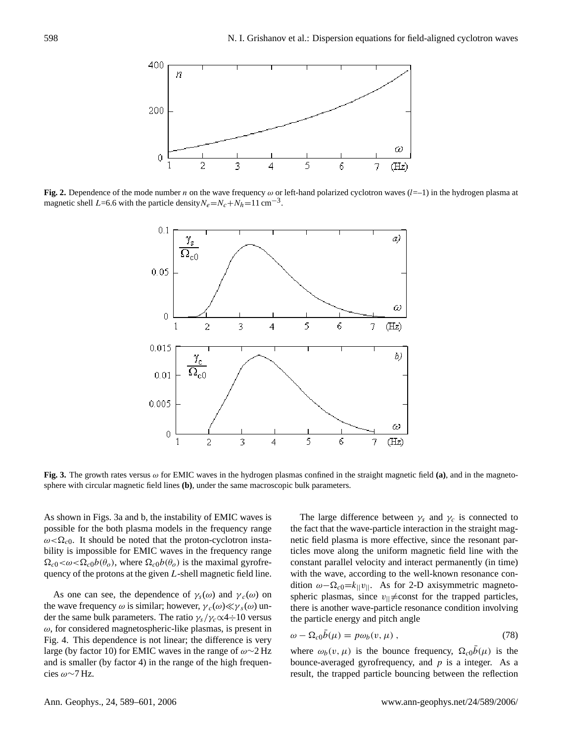

Fig. 2. Dependence of the mode number *n* on the wave frequency  $\omega$  or left-hand polarized cyclotron waves (*l*=-1) in the hydrogen plasma at magnetic shell L=6.6 with the particle density $N_e = N_c + N_h = 11 \text{ cm}^{-3}$ . imaginary part of the transverse dielectric transverse difference of the transverse  $(i=1)$  in the nyard



Fig. 3. The growth rates versus  $\omega$  for EMIC waves in the hydrogen plasmas confined in the straight magnetic field (a), and in the magnetosphere with circular magnetic field lines (**b**), under the same macroscopic bulk parameters.

As shown in Figs. 3a and b, the instability of EMIC waves is possible for the both plasma models in the frequency range  $\omega < \Omega_{c0}$ . It should be noted that the proton-cyclotron instability is impossible for EMIC waves in the frequency range  $\Omega_{c0} < \omega < \Omega_{c0} b(\theta_o)$ , where  $\Omega_{c0} b(\theta_o)$  is the maximal gyrofrequency of the protons at the given L-shell magnetic field line.

As one can see, the dependence of  $\gamma_s(\omega)$  and  $\gamma_c(\omega)$  on the wave frequency  $\omega$  is similar; however,  $\gamma_c(\omega) \ll \gamma_s(\omega)$  under the same bulk parameters. The ratio  $\gamma_s/\gamma_c \propto 4 \div 10$  versus  $\omega$ , for considered magnetospheric-like plasmas, is present in Fig. 4. This dependence is not linear; the difference is very large (by factor 10) for EMIC waves in the range of  $\omega \sim 2$  Hz and is smaller (by factor 4) in the range of the high frequencies ω∼7 Hz.

a and b, the instability of EMIC waves is The large difference between  $\gamma_s$  and  $\gamma_c$  is connected to The straight distinct waves in the straight magnetic field plasma by Eqs. (73, 44), and in the straight mag-<br>the fact that the wave-particle interaction in the straight magnetic field plasma is more effective, since the resonant particles move along the uniform magnetic field line with the constant parallel velocity and interact permanently (in time) with the wave, according to the well-known resonance condition  $\omega - \Omega_{c0} = k_{\vert\vert} v_{\vert\vert}$ . As for 2-D axisymmetric magnetospheric plasmas, since  $v_{\parallel} \neq$ const for the trapped particles, there is another wave-particle resonance condition involving the particle energy and pitch angle

$$
\omega - \Omega_{c0}\bar{b}(\mu) = p\omega_b(v,\mu) , \qquad (78)
$$

where  $\omega_b(v, \mu)$  is the bounce frequency,  $\Omega_{c0}\bar{b}(\mu)$  is the bounce-averaged gyrofrequency, and  $p$  is a integer. As a result, the trapped particle bouncing between the reflection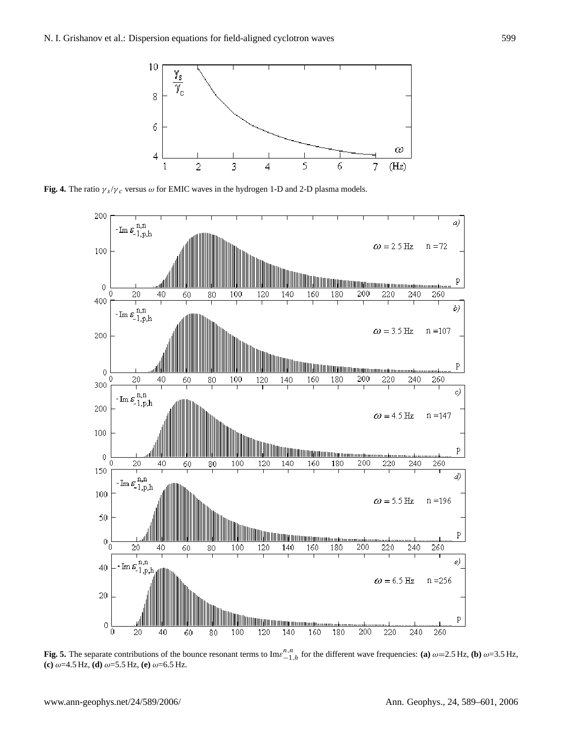

**Fig. 4.** The ratio  $\gamma_s/\gamma_c$  versus  $\omega$  for EMIC waves in the hydrogen 1-D and 2-D plasma models.



Fig. 5. The separate contributions of the bounce resonant terms to  $\text{Im} \mathcal{E}_{-1,h}^{n,n}$  for the different wave frequencies: (a)  $\omega$ =2.5 Hz, (b)  $\omega$ =3.5 Hz,  $\frac{1}{2}$   $\frac{1}{2}$ ,  $\frac{1}{2}$ ,  $\frac{1}{2}$ ,  $\frac{1}{2}$ ,  $\frac{1}{2}$ ,  $\frac{1}{2}$ ,  $\frac{1}{2}$ ,  $\frac{1}{2}$ ,  $\frac{1}{2}$ ,  $\frac{1}{2}$ ,  $\frac{1}{2}$ ,  $\frac{1}{2}$ ,  $\frac{1}{2}$ ,  $\frac{1}{2}$ ,  $\frac{1}{2}$ ,  $\frac{1}{2}$ ,  $\frac{1}{2}$ ,  $\frac{1}{2}$ ,  $\frac{1}{2}$ ,  $\$ **(c)** ω=4.5 Hz, **(d)** ω=5.5 Hz, **(e)** ω=6.5 Hz.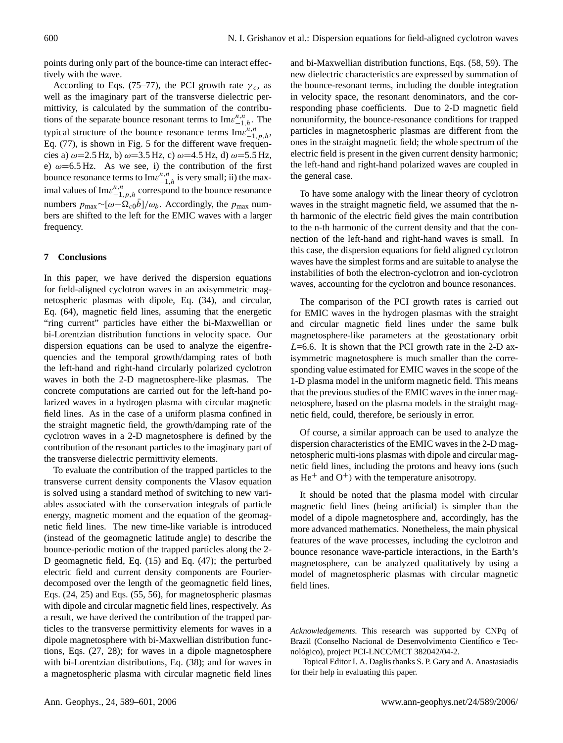points during only part of the bounce-time can interact effectively with the wave.

According to Eqs. (75–77), the PCI growth rate  $\gamma_c$ , as well as the imaginary part of the transverse dielectric permittivity, is calculated by the summation of the contributions of the separate bounce resonant terms to  $\text{Im} \varepsilon^{n,n}_{-1,h}$ . The typical structure of the bounce resonance terms  $\text{Im} \varepsilon_{-1,p,h}^{n,n}$ , Eq. [\(77\)](#page-8-2), is shown in Fig. 5 for the different wave frequencies a)  $\omega$ =2.5 Hz, b)  $\omega$ =3.5 Hz, c)  $\omega$ =4.5 Hz, d)  $\omega$ =5.5 Hz, e)  $\omega$ =6.5 Hz. As we see, i) the contribution of the first bounce resonance terms to  $\text{Im} \varepsilon^{n,n}_{-1,h}$  is very small; ii) the maximal values of  $\text{Im} \varepsilon^{n,n}_{-1,p,h}$  correspond to the bounce resonance numbers  $p_{\text{max}} \sim [\omega - \Omega_{c0} \bar{b}]/\omega_b$ . Accordingly, the  $p_{\text{max}}$  numbers are shifted to the left for the EMIC waves with a larger frequency.

#### **7 Conclusions**

In this paper, we have derived the dispersion equations for field-aligned cyclotron waves in an axisymmetric magnetospheric plasmas with dipole, Eq. [\(34\)](#page-4-0), and circular, Eq. [\(64\)](#page-7-0), magnetic field lines, assuming that the energetic "ring current" particles have either the bi-Maxwellian or bi-Lorentzian distribution functions in velocity space. Our dispersion equations can be used to analyze the eigenfrequencies and the temporal growth/damping rates of both the left-hand and right-hand circularly polarized cyclotron waves in both the 2-D magnetosphere-like plasmas. The concrete computations are carried out for the left-hand polarized waves in a hydrogen plasma with circular magnetic field lines. As in the case of a uniform plasma confined in the straight magnetic field, the growth/damping rate of the cyclotron waves in a 2-D magnetosphere is defined by the contribution of the resonant particles to the imaginary part of the transverse dielectric permittivity elements.

To evaluate the contribution of the trapped particles to the transverse current density components the Vlasov equation is solved using a standard method of switching to new variables associated with the conservation integrals of particle energy, magnetic moment and the equation of the geomagnetic field lines. The new time-like variable is introduced (instead of the geomagnetic latitude angle) to describe the bounce-periodic motion of the trapped particles along the 2- D geomagnetic field, Eq. [\(15\)](#page-2-3) and Eq. [\(47\)](#page-5-0); the perturbed electric field and current density components are Fourierdecomposed over the length of the geomagnetic field lines, Eqs. (24, 25) and Eqs. (55, 56), for magnetospheric plasmas with dipole and circular magnetic field lines, respectively. As a result, we have derived the contribution of the trapped particles to the transverse permittivity elements for waves in a dipole magnetosphere with bi-Maxwellian distribution functions, Eqs. (27, 28); for waves in a dipole magnetosphere with bi-Lorentzian distributions, Eq. [\(38\)](#page-4-1); and for waves in a magnetospheric plasma with circular magnetic field lines and bi-Maxwellian distribution functions, Eqs. (58, 59). The new dielectric characteristics are expressed by summation of the bounce-resonant terms, including the double integration in velocity space, the resonant denominators, and the corresponding phase coefficients. Due to 2-D magnetic field nonuniformity, the bounce-resonance conditions for trapped particles in magnetospheric plasmas are different from the ones in the straight magnetic field; the whole spectrum of the electric field is present in the given current density harmonic; the left-hand and right-hand polarized waves are coupled in the general case.

To have some analogy with the linear theory of cyclotron waves in the straight magnetic field, we assumed that the nth harmonic of the electric field gives the main contribution to the n-th harmonic of the current density and that the connection of the left-hand and right-hand waves is small. In this case, the dispersion equations for field aligned cyclotron waves have the simplest forms and are suitable to analyse the instabilities of both the electron-cyclotron and ion-cyclotron waves, accounting for the cyclotron and bounce resonances.

The comparison of the PCI growth rates is carried out for EMIC waves in the hydrogen plasmas with the straight and circular magnetic field lines under the same bulk magnetosphere-like parameters at the geostationary orbit  $L=6.6$ . It is shown that the PCI growth rate in the 2-D axisymmetric magnetosphere is much smaller than the corresponding value estimated for EMIC waves in the scope of the 1-D plasma model in the uniform magnetic field. This means that the previous studies of the EMIC waves in the inner magnetosphere, based on the plasma models in the straight magnetic field, could, therefore, be seriously in error.

Of course, a similar approach can be used to analyze the dispersion characteristics of the EMIC waves in the 2-D magnetospheric multi-ions plasmas with dipole and circular magnetic field lines, including the protons and heavy ions (such as  $He<sup>+</sup>$  and  $O<sup>+</sup>$ ) with the temperature anisotropy.

It should be noted that the plasma model with circular magnetic field lines (being artificial) is simpler than the model of a dipole magnetosphere and, accordingly, has the more advanced mathematics. Nonetheless, the main physical features of the wave processes, including the cyclotron and bounce resonance wave-particle interactions, in the Earth's magnetosphere, can be analyzed qualitatively by using a model of magnetospheric plasmas with circular magnetic field lines.

Topical Editor I. A. Daglis thanks S. P. Gary and A. Anastasiadis for their help in evaluating this paper.

*Acknowledgements.* This research was supported by CNPq of Brazil (Conselho Nacional de Desenvolvimento Científico e Tecnológico), project PCI-LNCC/MCT 382042/04-2.